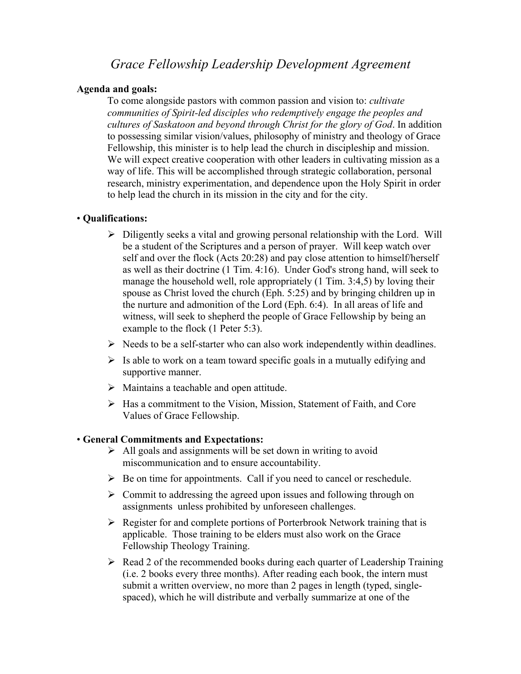# *Grace Fellowship Leadership Development Agreement*

### **Agenda and goals:**

To come alongside pastors with common passion and vision to: *cultivate communities of Spirit-led disciples who redemptively engage the peoples and cultures of Saskatoon and beyond through Christ for the glory of God*. In addition to possessing similar vision/values, philosophy of ministry and theology of Grace Fellowship, this minister is to help lead the church in discipleship and mission. We will expect creative cooperation with other leaders in cultivating mission as a way of life. This will be accomplished through strategic collaboration, personal research, ministry experimentation, and dependence upon the Holy Spirit in order to help lead the church in its mission in the city and for the city.

#### • **Qualifications:**

- $\triangleright$  Diligently seeks a vital and growing personal relationship with the Lord. Will be a student of the Scriptures and a person of prayer. Will keep watch over self and over the flock (Acts 20:28) and pay close attention to himself/herself as well as their doctrine (1 Tim. 4:16). Under God's strong hand, will seek to manage the household well, role appropriately (1 Tim. 3:4,5) by loving their spouse as Christ loved the church (Eph. 5:25) and by bringing children up in the nurture and admonition of the Lord (Eph. 6:4). In all areas of life and witness, will seek to shepherd the people of Grace Fellowship by being an example to the flock (1 Peter 5:3).
- $\triangleright$  Needs to be a self-starter who can also work independently within deadlines.
- $\triangleright$  Is able to work on a team toward specific goals in a mutually edifying and supportive manner.
- $\triangleright$  Maintains a teachable and open attitude.
- $\triangleright$  Has a commitment to the Vision, Mission, Statement of Faith, and Core Values of Grace Fellowship.

#### • **General Commitments and Expectations:**

- $\triangleright$  All goals and assignments will be set down in writing to avoid miscommunication and to ensure accountability.
- $\triangleright$  Be on time for appointments. Call if you need to cancel or reschedule.
- $\triangleright$  Commit to addressing the agreed upon issues and following through on assignments unless prohibited by unforeseen challenges.
- $\triangleright$  Register for and complete portions of Porterbrook Network training that is applicable. Those training to be elders must also work on the Grace Fellowship Theology Training.
- $\triangleright$  Read 2 of the recommended books during each quarter of Leadership Training (i.e. 2 books every three months). After reading each book, the intern must submit a written overview, no more than 2 pages in length (typed, singlespaced), which he will distribute and verbally summarize at one of the